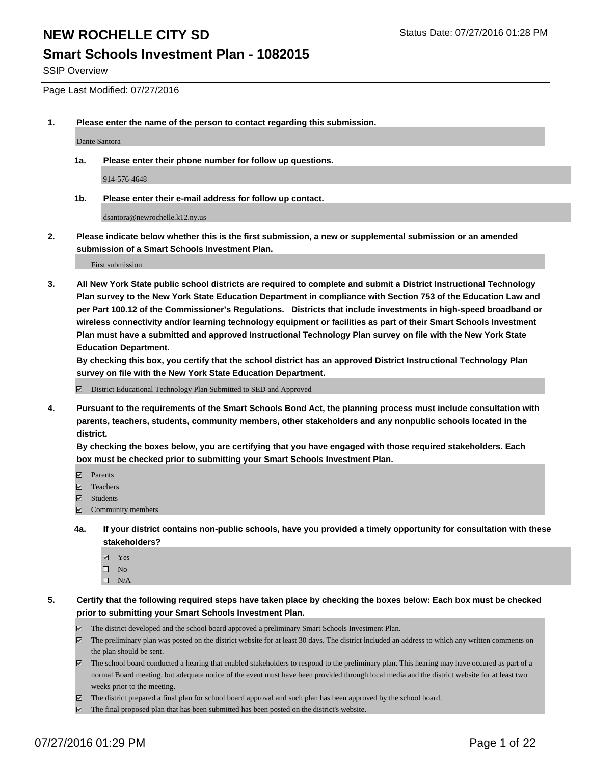### **Smart Schools Investment Plan - 1082015**

SSIP Overview

Page Last Modified: 07/27/2016

**1. Please enter the name of the person to contact regarding this submission.**

Dante Santora

**1a. Please enter their phone number for follow up questions.**

914-576-4648

**1b. Please enter their e-mail address for follow up contact.**

dsantora@newrochelle.k12.ny.us

**2. Please indicate below whether this is the first submission, a new or supplemental submission or an amended submission of a Smart Schools Investment Plan.**

First submission

**3. All New York State public school districts are required to complete and submit a District Instructional Technology Plan survey to the New York State Education Department in compliance with Section 753 of the Education Law and per Part 100.12 of the Commissioner's Regulations. Districts that include investments in high-speed broadband or wireless connectivity and/or learning technology equipment or facilities as part of their Smart Schools Investment Plan must have a submitted and approved Instructional Technology Plan survey on file with the New York State Education Department.** 

**By checking this box, you certify that the school district has an approved District Instructional Technology Plan survey on file with the New York State Education Department.**

District Educational Technology Plan Submitted to SED and Approved

**4. Pursuant to the requirements of the Smart Schools Bond Act, the planning process must include consultation with parents, teachers, students, community members, other stakeholders and any nonpublic schools located in the district.** 

**By checking the boxes below, you are certifying that you have engaged with those required stakeholders. Each box must be checked prior to submitting your Smart Schools Investment Plan.**

- **Parents**
- Teachers
- $\blacksquare$  Students
- Community members
- **4a. If your district contains non-public schools, have you provided a timely opportunity for consultation with these stakeholders?**
	- Yes  $\square$  No
	- $\square$  N/A
- **5. Certify that the following required steps have taken place by checking the boxes below: Each box must be checked prior to submitting your Smart Schools Investment Plan.**
	- The district developed and the school board approved a preliminary Smart Schools Investment Plan.
	- $\Box$  The preliminary plan was posted on the district website for at least 30 days. The district included an address to which any written comments on the plan should be sent.
	- $\Box$  The school board conducted a hearing that enabled stakeholders to respond to the preliminary plan. This hearing may have occured as part of a normal Board meeting, but adequate notice of the event must have been provided through local media and the district website for at least two weeks prior to the meeting.
	- The district prepared a final plan for school board approval and such plan has been approved by the school board.
	- $\boxdot$  The final proposed plan that has been submitted has been posted on the district's website.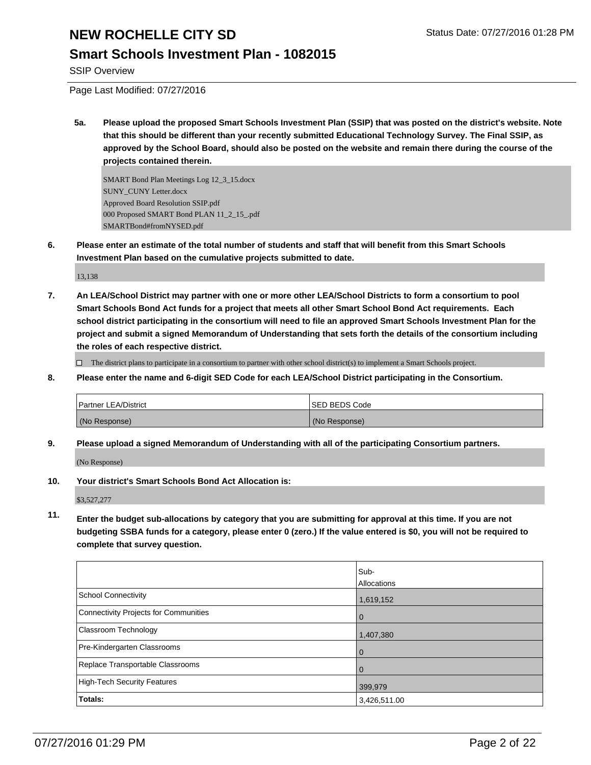### **Smart Schools Investment Plan - 1082015**

SSIP Overview

Page Last Modified: 07/27/2016

**5a. Please upload the proposed Smart Schools Investment Plan (SSIP) that was posted on the district's website. Note that this should be different than your recently submitted Educational Technology Survey. The Final SSIP, as approved by the School Board, should also be posted on the website and remain there during the course of the projects contained therein.**

SMART Bond Plan Meetings Log 12\_3\_15.docx SUNY\_CUNY Letter.docx Approved Board Resolution SSIP.pdf 000 Proposed SMART Bond PLAN 11\_2\_15\_.pdf SMARTBond#fromNYSED.pdf

**6. Please enter an estimate of the total number of students and staff that will benefit from this Smart Schools Investment Plan based on the cumulative projects submitted to date.**

13,138

**7. An LEA/School District may partner with one or more other LEA/School Districts to form a consortium to pool Smart Schools Bond Act funds for a project that meets all other Smart School Bond Act requirements. Each school district participating in the consortium will need to file an approved Smart Schools Investment Plan for the project and submit a signed Memorandum of Understanding that sets forth the details of the consortium including the roles of each respective district.**

 $\Box$  The district plans to participate in a consortium to partner with other school district(s) to implement a Smart Schools project.

**8. Please enter the name and 6-digit SED Code for each LEA/School District participating in the Consortium.**

| <b>Partner LEA/District</b> |               | <b>ISED BEDS Code</b> |  |  |
|-----------------------------|---------------|-----------------------|--|--|
|                             | (No Response) | (No Response)         |  |  |

**9. Please upload a signed Memorandum of Understanding with all of the participating Consortium partners.**

(No Response)

**10. Your district's Smart Schools Bond Act Allocation is:**

\$3,527,277

**11. Enter the budget sub-allocations by category that you are submitting for approval at this time. If you are not budgeting SSBA funds for a category, please enter 0 (zero.) If the value entered is \$0, you will not be required to complete that survey question.**

|                                              | Sub-         |
|----------------------------------------------|--------------|
|                                              | Allocations  |
| <b>School Connectivity</b>                   | 1,619,152    |
| <b>Connectivity Projects for Communities</b> | l 0          |
| Classroom Technology                         | 1,407,380    |
| Pre-Kindergarten Classrooms                  | l 0          |
| Replace Transportable Classrooms             | $\mathbf 0$  |
| <b>High-Tech Security Features</b>           | 399,979      |
| Totals:                                      | 3,426,511.00 |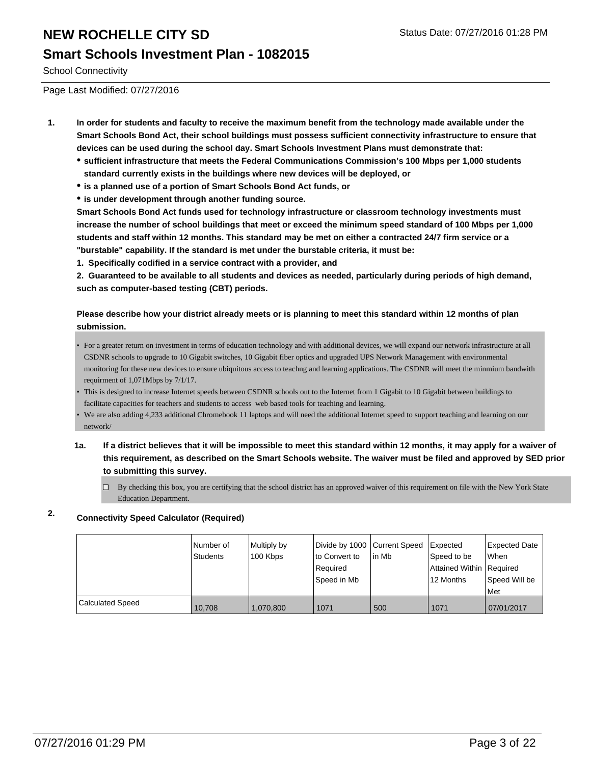### **Smart Schools Investment Plan - 1082015**

School Connectivity

Page Last Modified: 07/27/2016

- **1. In order for students and faculty to receive the maximum benefit from the technology made available under the Smart Schools Bond Act, their school buildings must possess sufficient connectivity infrastructure to ensure that devices can be used during the school day. Smart Schools Investment Plans must demonstrate that:**
	- **sufficient infrastructure that meets the Federal Communications Commission's 100 Mbps per 1,000 students standard currently exists in the buildings where new devices will be deployed, or**
	- **is a planned use of a portion of Smart Schools Bond Act funds, or**
	- **is under development through another funding source.**

**Smart Schools Bond Act funds used for technology infrastructure or classroom technology investments must increase the number of school buildings that meet or exceed the minimum speed standard of 100 Mbps per 1,000 students and staff within 12 months. This standard may be met on either a contracted 24/7 firm service or a "burstable" capability. If the standard is met under the burstable criteria, it must be:**

**1. Specifically codified in a service contract with a provider, and**

**2. Guaranteed to be available to all students and devices as needed, particularly during periods of high demand, such as computer-based testing (CBT) periods.**

#### **Please describe how your district already meets or is planning to meet this standard within 12 months of plan submission.**

- For a greater return on investment in terms of education technology and with additional devices, we will expand our network infrastructure at all CSDNR schools to upgrade to 10 Gigabit switches, 10 Gigabit fiber optics and upgraded UPS Network Management with environmental monitoring for these new devices to ensure ubiquitous access to teachng and learning applications. The CSDNR will meet the minmium bandwith requirment of 1,071Mbps by 7/1/17.
- This is designed to increase Internet speeds between CSDNR schools out to the Internet from 1 Gigabit to 10 Gigabit between buildings to facilitate capacities for teachers and students to access web based tools for teaching and learning. •
- We are also adding 4,233 additional Chromebook 11 laptops and will need the additional Internet speed to support teaching and learning on our network/
- **1a. If a district believes that it will be impossible to meet this standard within 12 months, it may apply for a waiver of this requirement, as described on the Smart Schools website. The waiver must be filed and approved by SED prior to submitting this survey.**
	- $\Box$ By checking this box, you are certifying that the school district has an approved waiver of this requirement on file with the New York State Education Department.

#### **2. Connectivity Speed Calculator (Required)**

|                         | Number of<br><b>Students</b> | Multiply by<br>100 Kbps | Divide by 1000 Current Speed<br>to Convert to<br>Required<br>lSpeed in Mb | l in Mb | <b>Expected</b><br>Speed to be<br>Attained Within   Required<br>12 Months | <b>Expected Date</b><br><b>When</b><br>Speed Will be<br>l Met |
|-------------------------|------------------------------|-------------------------|---------------------------------------------------------------------------|---------|---------------------------------------------------------------------------|---------------------------------------------------------------|
| <b>Calculated Speed</b> | 10.708                       | 1.070.800               | 1071                                                                      | 500     | 1071                                                                      | 07/01/2017                                                    |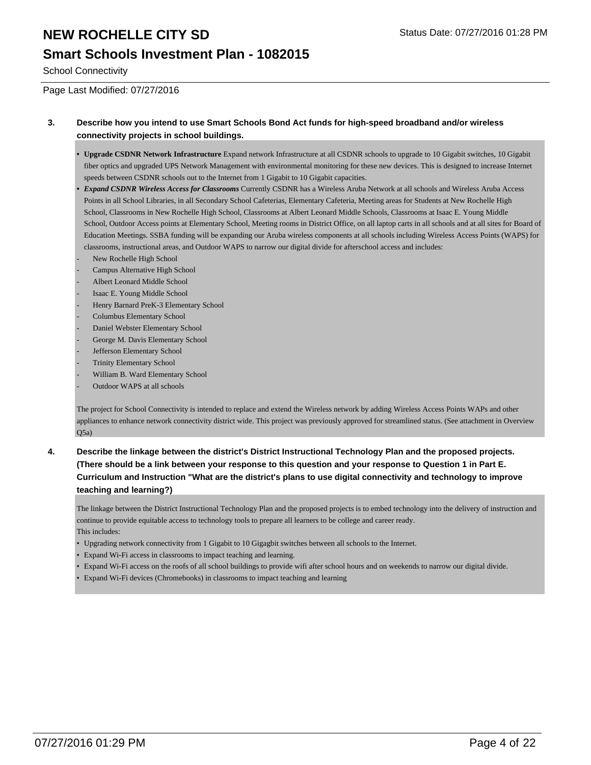## **Smart Schools Investment Plan - 1082015**

School Connectivity

Page Last Modified: 07/27/2016

#### **3. Describe how you intend to use Smart Schools Bond Act funds for high-speed broadband and/or wireless connectivity projects in school buildings.**

- **Upgrade CSDNR Network Infrastructure** Expand network Infrastructure at all CSDNR schools to upgrade to 10 Gigabit switches, 10 Gigabit fiber optics and upgraded UPS Network Management with environmental monitoring for these new devices. This is designed to increase Internet speeds between CSDNR schools out to the Internet from 1 Gigabit to 10 Gigabit capacities. **•**
- *Expand CSDNR Wireless Access for Classrooms* Currently CSDNR has a Wireless Aruba Network at all schools and Wireless Aruba Access Points in all School Libraries, in all Secondary School Cafeterias, Elementary Cafeteria, Meeting areas for Students at New Rochelle High School, Classrooms in New Rochelle High School, Classrooms at Albert Leonard Middle Schools, Classrooms at Isaac E. Young Middle School, Outdoor Access points at Elementary School, Meeting rooms in District Office, on all laptop carts in all schools and at all sites for Board of Education Meetings. SSBA funding will be expanding our Aruba wireless components at all schools including Wireless Access Points (WAPS) for classrooms, instructional areas, and Outdoor WAPS to narrow our digital divide for afterschool access and includes: *•*
- New Rochelle High School
- Campus Alternative High School
- Albert Leonard Middle School
- Isaac E. Young Middle School
- Henry Barnard PreK-3 Elementary School
- Columbus Elementary School
- Daniel Webster Elementary School
- George M. Davis Elementary School
- Jefferson Elementary School
- Trinity Elementary School
- William B. Ward Elementary School
- Outdoor WAPS at all schools

The project for School Connectivity is intended to replace and extend the Wireless network by adding Wireless Access Points WAPs and other appliances to enhance network connectivity district wide. This project was previously approved for streamlined status. (See attachment in Overview Q5a)

**4. Describe the linkage between the district's District Instructional Technology Plan and the proposed projects. (There should be a link between your response to this question and your response to Question 1 in Part E. Curriculum and Instruction "What are the district's plans to use digital connectivity and technology to improve teaching and learning?)**

The linkage between the District Instructional Technology Plan and the proposed projects is to embed technology into the delivery of instruction and continue to provide equitable access to technology tools to prepare all learners to be college and career ready. This includes:

- Upgrading network connectivity from 1 Gigabit to 10 Gigagbit switches between all schools to the Internet.
- Expand Wi-Fi access in classrooms to impact teaching and learning.
- Expand Wi-Fi access on the roofs of all school buildings to provide wifi after school hours and on weekends to narrow our digital divide.
- Expand Wi-Fi devices (Chromebooks) in classrooms to impact teaching and learning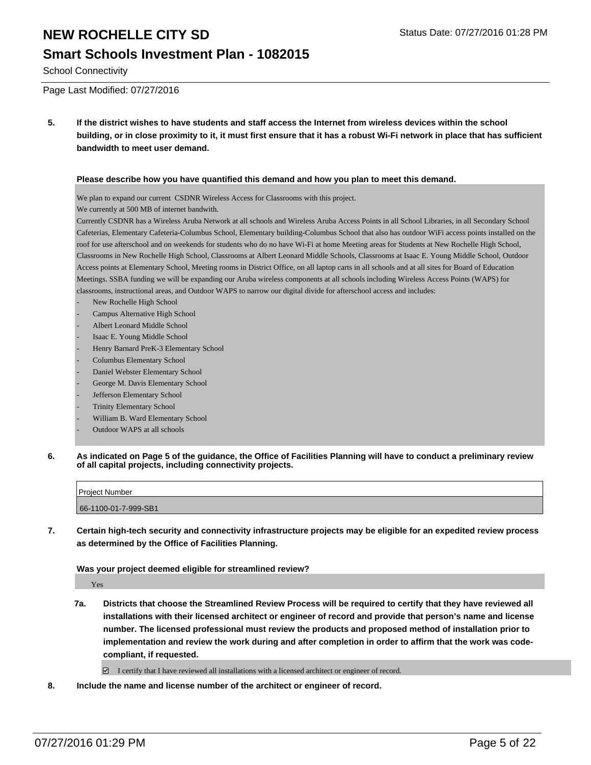### **Smart Schools Investment Plan - 1082015**

School Connectivity

Page Last Modified: 07/27/2016

**5. If the district wishes to have students and staff access the Internet from wireless devices within the school building, or in close proximity to it, it must first ensure that it has a robust Wi-Fi network in place that has sufficient bandwidth to meet user demand.**

#### **Please describe how you have quantified this demand and how you plan to meet this demand.**

We plan to expand our current CSDNR Wireless Access for Classrooms with this project.

We currently at 500 MB of internet bandwith.

Currently CSDNR has a Wireless Aruba Network at all schools and Wireless Aruba Access Points in all School Libraries, in all Secondary School Cafeterias, Elementary Cafeteria-Columbus School, Elementary building-Columbus School that also has outdoor WiFi access points installed on the roof for use afterschool and on weekends for students who do no have Wi-Fi at home Meeting areas for Students at New Rochelle High School, Classrooms in New Rochelle High School, Classrooms at Albert Leonard Middle Schools, Classrooms at Isaac E. Young Middle School, Outdoor Access points at Elementary School, Meeting rooms in District Office, on all laptop carts in all schools and at all sites for Board of Education Meetings. SSBA funding we will be expanding our Aruba wireless components at all schools including Wireless Access Points (WAPS) for classrooms, instructional areas, and Outdoor WAPS to narrow our digital divide for afterschool access and includes:

- New Rochelle High School
- Campus Alternative High School
- Albert Leonard Middle School
- Isaac E. Young Middle School
- Henry Barnard PreK-3 Elementary School
- Columbus Elementary School
- Daniel Webster Elementary School
- George M. Davis Elementary School
- Jefferson Elementary School
- Trinity Elementary School
- William B. Ward Elementary School
- Outdoor WAPS at all schools
- **6. As indicated on Page 5 of the guidance, the Office of Facilities Planning will have to conduct a preliminary review of all capital projects, including connectivity projects.**

| Project Number       |  |
|----------------------|--|
|                      |  |
|                      |  |
| 66-1100-01-7-999-SB1 |  |

**7. Certain high-tech security and connectivity infrastructure projects may be eligible for an expedited review process as determined by the Office of Facilities Planning.**

**Was your project deemed eligible for streamlined review?**

Yes

**7a. Districts that choose the Streamlined Review Process will be required to certify that they have reviewed all installations with their licensed architect or engineer of record and provide that person's name and license number. The licensed professional must review the products and proposed method of installation prior to implementation and review the work during and after completion in order to affirm that the work was codecompliant, if requested.**

 $\Box$  I certify that I have reviewed all installations with a licensed architect or engineer of record.

**8. Include the name and license number of the architect or engineer of record.**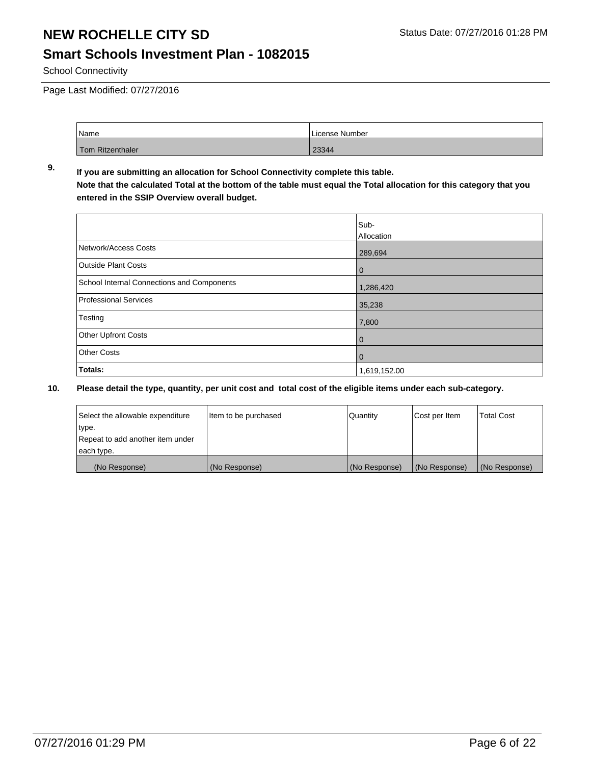## **Smart Schools Investment Plan - 1082015**

School Connectivity

Page Last Modified: 07/27/2016

| <sup>1</sup> Name | License Number |  |  |
|-------------------|----------------|--|--|
| Tom Ritzenthaler  | 23344          |  |  |

#### **9. If you are submitting an allocation for School Connectivity complete this table. Note that the calculated Total at the bottom of the table must equal the Total allocation for this category that you entered in the SSIP Overview overall budget.**

|                                            | Sub-              |
|--------------------------------------------|-------------------|
|                                            | <b>Allocation</b> |
| Network/Access Costs                       | 289,694           |
| <b>Outside Plant Costs</b>                 | $\bf{0}$          |
| School Internal Connections and Components | 1,286,420         |
| <b>Professional Services</b>               | 35,238            |
| Testing                                    | 7,800             |
| <b>Other Upfront Costs</b>                 | 0                 |
| <b>Other Costs</b>                         | 0                 |
| Totals:                                    | 1,619,152.00      |

| Select the allowable expenditure | litem to be purchased | Quantity      | Cost per Item | <b>Total Cost</b> |
|----------------------------------|-----------------------|---------------|---------------|-------------------|
| type.                            |                       |               |               |                   |
| Repeat to add another item under |                       |               |               |                   |
| each type.                       |                       |               |               |                   |
| (No Response)                    | (No Response)         | (No Response) | (No Response) | (No Response)     |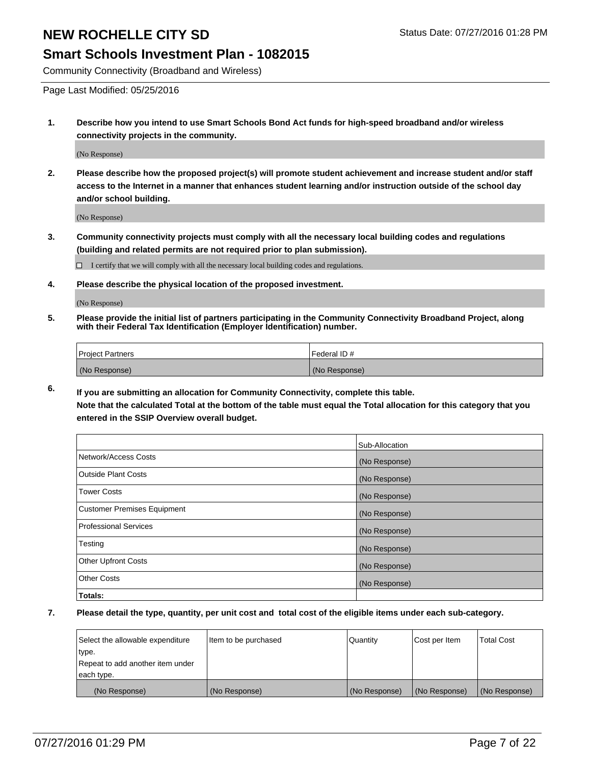#### **Smart Schools Investment Plan - 1082015**

Community Connectivity (Broadband and Wireless)

Page Last Modified: 05/25/2016

**1. Describe how you intend to use Smart Schools Bond Act funds for high-speed broadband and/or wireless connectivity projects in the community.**

(No Response)

**2. Please describe how the proposed project(s) will promote student achievement and increase student and/or staff access to the Internet in a manner that enhances student learning and/or instruction outside of the school day and/or school building.**

(No Response)

**3. Community connectivity projects must comply with all the necessary local building codes and regulations (building and related permits are not required prior to plan submission).**

 $\Box$  I certify that we will comply with all the necessary local building codes and regulations.

**4. Please describe the physical location of the proposed investment.**

(No Response)

**5. Please provide the initial list of partners participating in the Community Connectivity Broadband Project, along with their Federal Tax Identification (Employer Identification) number.**

| Project Partners | <b>IFederal ID#</b> |
|------------------|---------------------|
| (No Response)    | (No Response)       |

**6. If you are submitting an allocation for Community Connectivity, complete this table. Note that the calculated Total at the bottom of the table must equal the Total allocation for this category that you**

**entered in the SSIP Overview overall budget.**

|                                    | Sub-Allocation |
|------------------------------------|----------------|
| Network/Access Costs               | (No Response)  |
| <b>Outside Plant Costs</b>         | (No Response)  |
| <b>Tower Costs</b>                 | (No Response)  |
| <b>Customer Premises Equipment</b> | (No Response)  |
| <b>Professional Services</b>       | (No Response)  |
| Testing                            | (No Response)  |
| <b>Other Upfront Costs</b>         | (No Response)  |
| <b>Other Costs</b>                 | (No Response)  |
| Totals:                            |                |

| Select the allowable expenditure | Item to be purchased | Quantity      | Cost per Item | <b>Total Cost</b> |
|----------------------------------|----------------------|---------------|---------------|-------------------|
| type.                            |                      |               |               |                   |
| Repeat to add another item under |                      |               |               |                   |
| each type.                       |                      |               |               |                   |
| (No Response)                    | (No Response)        | (No Response) | (No Response) | (No Response)     |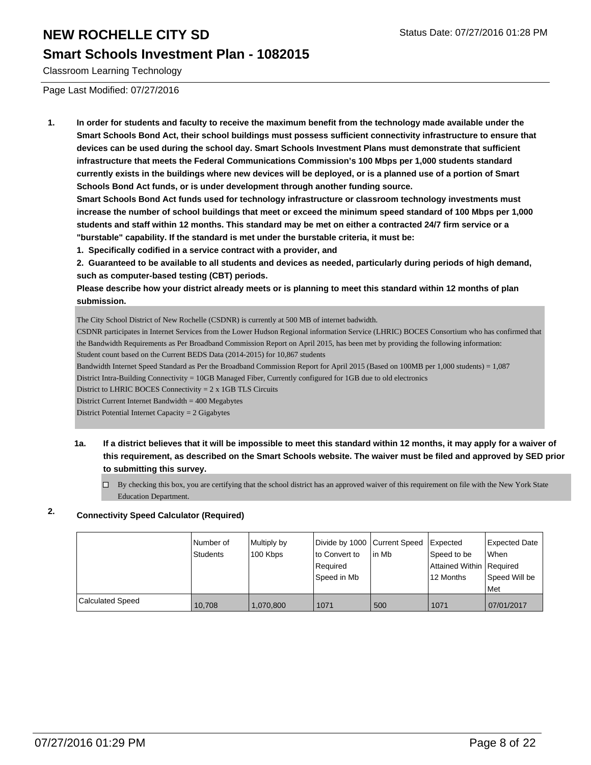#### **Smart Schools Investment Plan - 1082015**

Classroom Learning Technology

Page Last Modified: 07/27/2016

**1. In order for students and faculty to receive the maximum benefit from the technology made available under the Smart Schools Bond Act, their school buildings must possess sufficient connectivity infrastructure to ensure that devices can be used during the school day. Smart Schools Investment Plans must demonstrate that sufficient infrastructure that meets the Federal Communications Commission's 100 Mbps per 1,000 students standard currently exists in the buildings where new devices will be deployed, or is a planned use of a portion of Smart Schools Bond Act funds, or is under development through another funding source.**

**Smart Schools Bond Act funds used for technology infrastructure or classroom technology investments must increase the number of school buildings that meet or exceed the minimum speed standard of 100 Mbps per 1,000 students and staff within 12 months. This standard may be met on either a contracted 24/7 firm service or a "burstable" capability. If the standard is met under the burstable criteria, it must be:**

**1. Specifically codified in a service contract with a provider, and**

**2. Guaranteed to be available to all students and devices as needed, particularly during periods of high demand, such as computer-based testing (CBT) periods.**

**Please describe how your district already meets or is planning to meet this standard within 12 months of plan submission.**

The City School District of New Rochelle (CSDNR) is currently at 500 MB of internet badwidth.

CSDNR participates in Internet Services from the Lower Hudson Regional information Service (LHRIC) BOCES Consortium who has confirmed that the Bandwidth Requirements as Per Broadband Commission Report on April 2015, has been met by providing the following information:

Student count based on the Current BEDS Data (2014-2015) for 10,867 students

Bandwidth Internet Speed Standard as Per the Broadband Commission Report for April 2015 (Based on 100MB per 1,000 students) = 1,087

District Intra-Building Connectivity = 10GB Managed Fiber, Currently configured for 1GB due to old electronics

District to LHRIC BOCES Connectivity = 2 x 1GB TLS Circuits

District Current Internet Bandwidth = 400 Megabytes

District Potential Internet Capacity = 2 Gigabytes

**1a. If a district believes that it will be impossible to meet this standard within 12 months, it may apply for a waiver of this requirement, as described on the Smart Schools website. The waiver must be filed and approved by SED prior to submitting this survey.**

 $\Box$  By checking this box, you are certifying that the school district has an approved waiver of this requirement on file with the New York State Education Department.

### **2. Connectivity Speed Calculator (Required)**

|                         | Number of<br><b>Students</b> | Multiply by<br>100 Kbps | Divide by 1000 Current Speed<br>to Convert to<br>Required<br>Speed in Mb | lin Mb | Expected<br>Speed to be<br>Attained Within Required<br>12 Months | Expected Date<br>When<br>Speed Will be<br>l Met |
|-------------------------|------------------------------|-------------------------|--------------------------------------------------------------------------|--------|------------------------------------------------------------------|-------------------------------------------------|
| <b>Calculated Speed</b> | 10.708                       | 1.070.800               | 1071                                                                     | 500    | 1071                                                             | 07/01/2017                                      |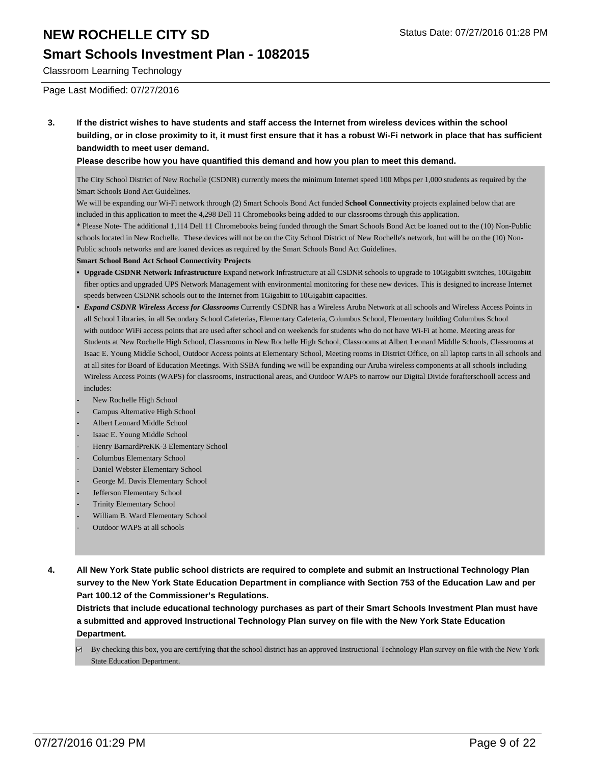### **Smart Schools Investment Plan - 1082015**

Classroom Learning Technology

Page Last Modified: 07/27/2016

**3. If the district wishes to have students and staff access the Internet from wireless devices within the school building, or in close proximity to it, it must first ensure that it has a robust Wi-Fi network in place that has sufficient bandwidth to meet user demand.**

#### **Please describe how you have quantified this demand and how you plan to meet this demand.**

The City School District of New Rochelle (CSDNR) currently meets the minimum Internet speed 100 Mbps per 1,000 students as required by the Smart Schools Bond Act Guidelines.

We will be expanding our Wi-Fi network through (2) Smart Schools Bond Act funded **School Connectivity** projects explained below that are included in this application to meet the 4,298 Dell 11 Chromebooks being added to our classrooms through this application.

\* Please Note- The additional 1,114 Dell 11 Chromebooks being funded through the Smart Schools Bond Act be loaned out to the (10) Non-Public schools located in New Rochelle. These devices will not be on the City School District of New Rochelle's network, but will be on the (10) Non-Public schools networks and are loaned devices as required by the Smart Schools Bond Act Guidelines.

#### **Smart School Bond Act School Connectivity Projects**

- **Upgrade CSDNR Network Infrastructure** Expand network Infrastructure at all CSDNR schools to upgrade to 10Gigabitt switches, 10Gigabitt fiber optics and upgraded UPS Network Management with environmental monitoring for these new devices. This is designed to increase Internet speeds between CSDNR schools out to the Internet from 1Gigabitt to 10Gigabitt capacities. **•**
- *Expand CSDNR Wireless Access for Classrooms* Currently CSDNR has a Wireless Aruba Network at all schools and Wireless Access Points in all School Libraries, in all Secondary School Cafeterias, Elementary Cafeteria, Columbus School, Elementary building Columbus School with outdoor WiFi access points that are used after school and on weekends for students who do not have Wi-Fi at home. Meeting areas for Students at New Rochelle High School, Classrooms in New Rochelle High School, Classrooms at Albert Leonard Middle Schools, Classrooms at Isaac E. Young Middle School, Outdoor Access points at Elementary School, Meeting rooms in District Office, on all laptop carts in all schools and at all sites for Board of Education Meetings. With SSBA funding we will be expanding our Aruba wireless components at all schools including Wireless Access Points (WAPS) for classrooms, instructional areas, and Outdoor WAPS to narrow our Digital Divide forafterschooll access and includes: *•*
- New Rochelle High School
- Campus Alternative High School
- Albert Leonard Middle School
- Isaac E. Young Middle School
- Henry BarnardPreKK-3 Elementary School
- Columbus Elementary School
- Daniel Webster Elementary School
- George M. Davis Elementary School
- Jefferson Elementary School
- **Trinity Elementary School**
- William B. Ward Elementary School
- Outdoor WAPS at all schools
- **4. All New York State public school districts are required to complete and submit an Instructional Technology Plan survey to the New York State Education Department in compliance with Section 753 of the Education Law and per Part 100.12 of the Commissioner's Regulations.**

**Districts that include educational technology purchases as part of their Smart Schools Investment Plan must have a submitted and approved Instructional Technology Plan survey on file with the New York State Education Department.**

By checking this box, you are certifying that the school district has an approved Instructional Technology Plan survey on file with the New York State Education Department.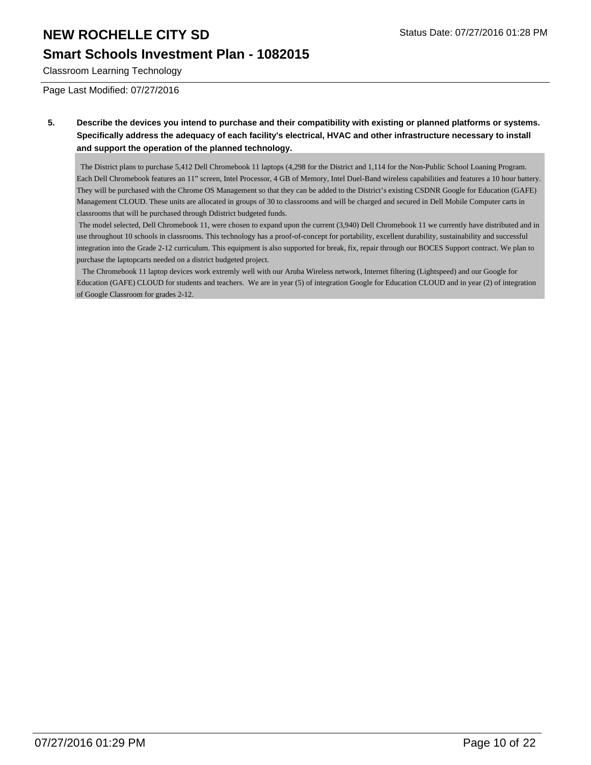### **Smart Schools Investment Plan - 1082015**

Classroom Learning Technology

Page Last Modified: 07/27/2016

**5. Describe the devices you intend to purchase and their compatibility with existing or planned platforms or systems. Specifically address the adequacy of each facility's electrical, HVAC and other infrastructure necessary to install and support the operation of the planned technology.**

 The District plans to purchase 5,412 Dell Chromebook 11 laptops (4,298 for the District and 1,114 for the Non-Public School Loaning Program. Each Dell Chromebook features an 11" screen, Intel Processor, 4 GB of Memory, Intel Duel-Band wireless capabilities and features a 10 hour battery. They will be purchased with the Chrome OS Management so that they can be added to the District's existing CSDNR Google for Education (GAFE) Management CLOUD. These units are allocated in groups of 30 to classrooms and will be charged and secured in Dell Mobile Computer carts in classrooms that will be purchased through Ddistrict budgeted funds.

 The model selected, Dell Chromebook 11, were chosen to expand upon the current (3,940) Dell Chromebook 11 we currently have distributed and in use throughout 10 schools in classrooms. This technology has a proof-of-concept for portability, excellent durability, sustainability and successful integration into the Grade 2-12 curriculum. This equipment is also supported for break, fix, repair through our BOCES Support contract. We plan to purchase the laptopcarts needed on a district budgeted project.

 The Chromebook 11 laptop devices work extremly well with our Aruba Wireless network, Internet filtering (Lightspeed) and our Google for Education (GAFE) CLOUD for students and teachers. We are in year (5) of integration Google for Education CLOUD and in year (2) of integration of Google Classroom for grades 2-12.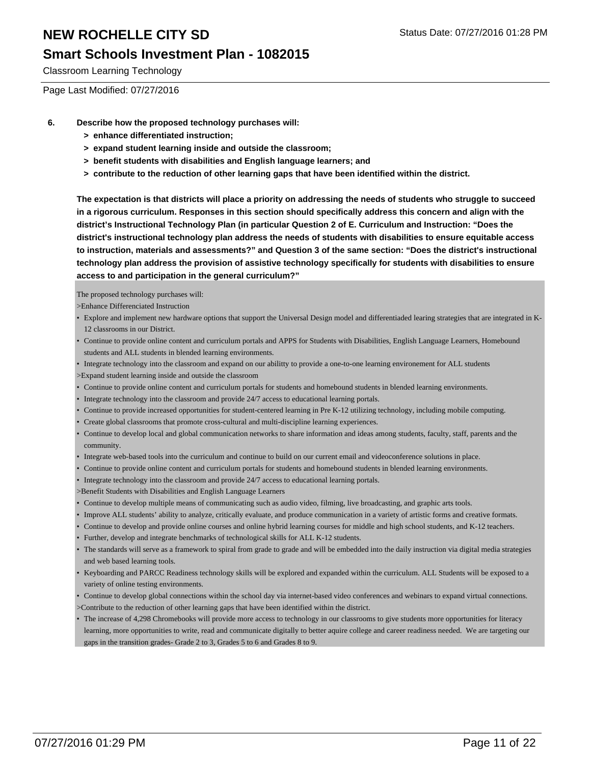### **Smart Schools Investment Plan - 1082015**

Classroom Learning Technology

Page Last Modified: 07/27/2016

- **6. Describe how the proposed technology purchases will:**
	- **> enhance differentiated instruction;**
	- **> expand student learning inside and outside the classroom;**
	- **> benefit students with disabilities and English language learners; and**
	- **> contribute to the reduction of other learning gaps that have been identified within the district.**

**The expectation is that districts will place a priority on addressing the needs of students who struggle to succeed in a rigorous curriculum. Responses in this section should specifically address this concern and align with the district's Instructional Technology Plan (in particular Question 2 of E. Curriculum and Instruction: "Does the district's instructional technology plan address the needs of students with disabilities to ensure equitable access to instruction, materials and assessments?" and Question 3 of the same section: "Does the district's instructional technology plan address the provision of assistive technology specifically for students with disabilities to ensure access to and participation in the general curriculum?"**

The proposed technology purchases will:

- >Enhance Differenciated Instruction
- Explore and implement new hardware options that support the Universal Design model and differentiaded learing strategies that are integrated in K-12 classrooms in our District.
- Continue to provide online content and curriculum portals and APPS for Students with Disabilities, English Language Learners, Homebound students and ALL students in blended learning environments.
- Integrate technology into the classroom and expand on our abilitty to provide a one-to-one learning environement for ALL students
- >Expand student learning inside and outside the classroom
- Continue to provide online content and curriculum portals for students and homebound students in blended learning environments.
- Integrate technology into the classroom and provide 24/7 access to educational learning portals.
- Continue to provide increased opportunities for student-centered learning in Pre K-12 utilizing technology, including mobile computing.
- Create global classrooms that promote cross-cultural and multi-discipline learning experiences.
- Continue to develop local and global communication networks to share information and ideas among students, faculty, staff, parents and the community. •
- Integrate web-based tools into the curriculum and continue to build on our current email and videoconference solutions in place.
- Continue to provide online content and curriculum portals for students and homebound students in blended learning environments.
- Integrate technology into the classroom and provide 24/7 access to educational learning portals.
- >Benefit Students with Disabilities and English Language Learners
- Continue to develop multiple means of communicating such as audio video, filming, live broadcasting, and graphic arts tools.
- Improve ALL students' ability to analyze, critically evaluate, and produce communication in a variety of artistic forms and creative formats.
- Continue to develop and provide online courses and online hybrid learning courses for middle and high school students, and K-12 teachers.
- Further, develop and integrate benchmarks of technological skills for ALL K-12 students.
- The standards will serve as a framework to spiral from grade to grade and will be embedded into the daily instruction via digital media strategies and web based learning tools.
- Keyboarding and PARCC Readiness technology skills will be explored and expanded within the curriculum. ALL Students will be exposed to a variety of online testing environments.
- Continue to develop global connections within the school day via internet-based video conferences and webinars to expand virtual connections. >Contribute to the reduction of other learning gaps that have been identified within the district.
- The increase of 4,298 Chromebooks will provide more access to technology in our classrooms to give students more opportunities for literacy learning, more opportunities to write, read and communicate digitally to better aquire college and career readiness needed. We are targeting our gaps in the transition grades- Grade 2 to 3, Grades 5 to 6 and Grades 8 to 9.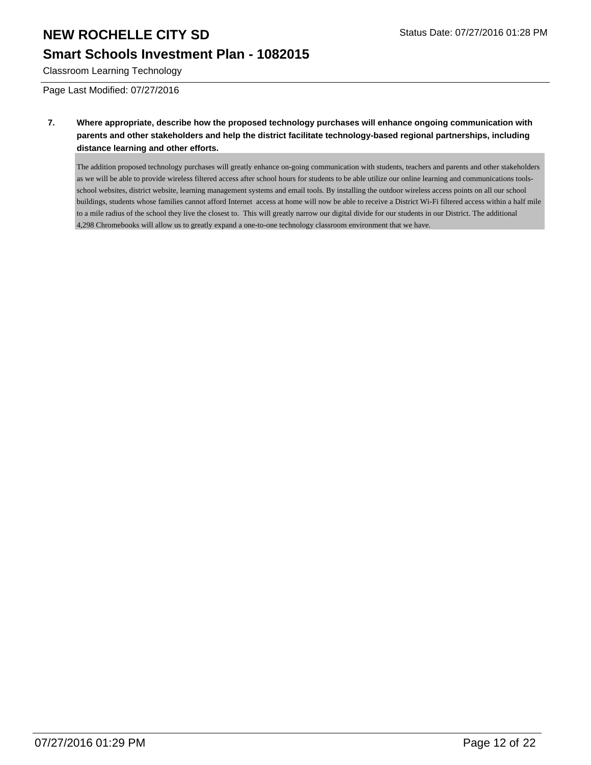## **Smart Schools Investment Plan - 1082015**

Classroom Learning Technology

Page Last Modified: 07/27/2016

**7. Where appropriate, describe how the proposed technology purchases will enhance ongoing communication with parents and other stakeholders and help the district facilitate technology-based regional partnerships, including distance learning and other efforts.**

The addition proposed technology purchases will greatly enhance on-going communication with students, teachers and parents and other stakeholders as we will be able to provide wireless filtered access after school hours for students to be able utilize our online learning and communications toolsschool websites, district website, learning management systems and email tools. By installing the outdoor wireless access points on all our school buildings, students whose families cannot afford Internet access at home will now be able to receive a District Wi-Fi filtered access within a half mile to a mile radius of the school they live the closest to. This will greatly narrow our digital divide for our students in our District. The additional 4,298 Chromebooks will allow us to greatly expand a one-to-one technology classroom environment that we have.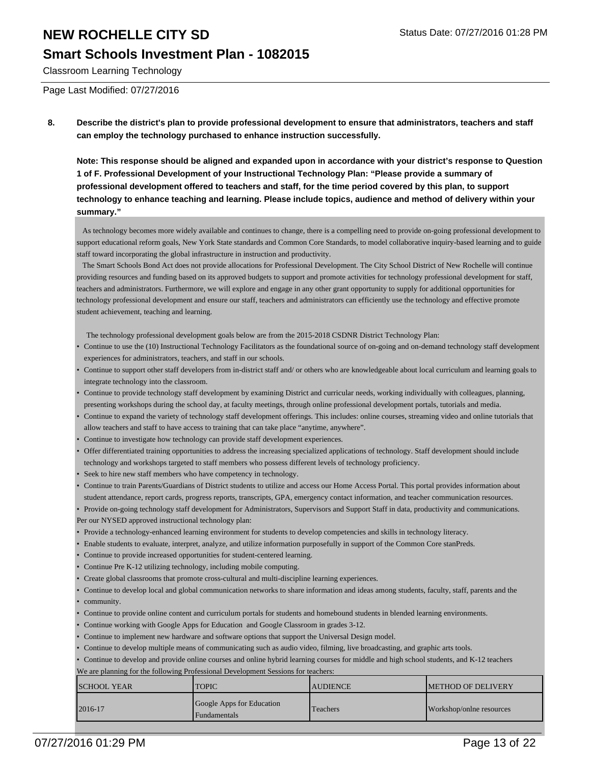#### **Smart Schools Investment Plan - 1082015**

Classroom Learning Technology

Page Last Modified: 07/27/2016

**8. Describe the district's plan to provide professional development to ensure that administrators, teachers and staff can employ the technology purchased to enhance instruction successfully.**

**Note: This response should be aligned and expanded upon in accordance with your district's response to Question 1 of F. Professional Development of your Instructional Technology Plan: "Please provide a summary of professional development offered to teachers and staff, for the time period covered by this plan, to support technology to enhance teaching and learning. Please include topics, audience and method of delivery within your summary."**

 As technology becomes more widely available and continues to change, there is a compelling need to provide on-going professional development to support educational reform goals, New York State standards and Common Core Standards, to model collaborative inquiry-based learning and to guide staff toward incorporating the global infrastructure in instruction and productivity.

 The Smart Schools Bond Act does not provide allocations for Professional Development. The City School District of New Rochelle will continue providing resources and funding based on its approved budgets to support and promote activities for technology professional development for staff, teachers and administrators. Furthermore, we will explore and engage in any other grant opportunity to supply for additional opportunities for technology professional development and ensure our staff, teachers and administrators can efficiently use the technology and effective promote student achievement, teaching and learning.

The technology professional development goals below are from the 2015-2018 CSDNR District Technology Plan:

- Continue to use the (10) Instructional Technology Facilitators as the foundational source of on-going and on-demand technology staff development experiences for administrators, teachers, and staff in our schools. •
- Continue to support other staff developers from in-district staff and/ or others who are knowledgeable about local curriculum and learning goals to integrate technology into the classroom. •
- Continue to provide technology staff development by examining District and curricular needs, working individually with colleagues, planning, presenting workshops during the school day, at faculty meetings, through online professional development portals, tutorials and media.
- Continue to expand the variety of technology staff development offerings. This includes: online courses, streaming video and online tutorials that allow teachers and staff to have access to training that can take place "anytime, anywhere". •
- Continue to investigate how technology can provide staff development experiences.
- Offer differentiated training opportunities to address the increasing specialized applications of technology. Staff development should include technology and workshops targeted to staff members who possess different levels of technology proficiency. •
- Seek to hire new staff members who have competency in technology.
- Continue to train Parents/Guardians of District students to utilize and access our Home Access Portal. This portal provides information about student attendance, report cards, progress reports, transcripts, GPA, emergency contact information, and teacher communication resources. •

• Provide on-going technology staff development for Administrators, Supervisors and Support Staff in data, productivity and communications. Per our NYSED approved instructional technology plan:

- Provide a technology-enhanced learning environment for students to develop competencies and skills in technology literacy.
- Enable students to evaluate, interpret, analyze, and utilize information purposefully in support of the Common Core stanPreds.
- Continue to provide increased opportunities for student-centered learning.
- Continue Pre K-12 utilizing technology, including mobile computing.
- Create global classrooms that promote cross-cultural and multi-discipline learning experiences.
- Continue to develop local and global communication networks to share information and ideas among students, faculty, staff, parents and the
- community.
- Continue to provide online content and curriculum portals for students and homebound students in blended learning environments.
- Continue working with Google Apps for Education and Google Classroom in grades 3-12.
- Continue to implement new hardware and software options that support the Universal Design model.
- Continue to develop multiple means of communicating such as audio video, filming, live broadcasting, and graphic arts tools.
- Continue to develop and provide online courses and online hybrid learning courses for middle and high school students, and K-12 teachers

We are planning for the following Professional Development Sessions for teachers:

| <b>ISCHOOL YEAR</b> | TOPIC                                                     | <b>AUDIENCE</b> | <b>IMETHOD OF DELIVERY</b> |
|---------------------|-----------------------------------------------------------|-----------------|----------------------------|
| $2016 - 17$         | <b>Google Apps for Education</b><br><b>I</b> Fundamentals | Teachers        | Workshop/onlne resources   |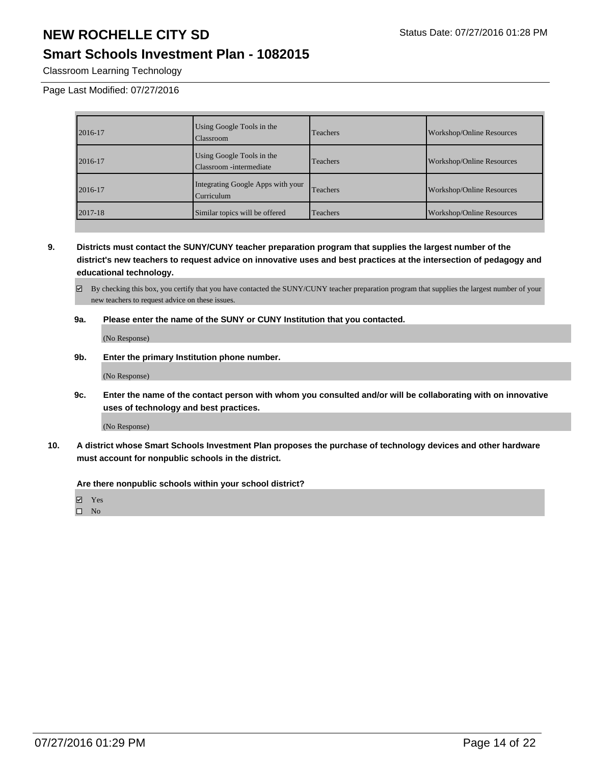### **Smart Schools Investment Plan - 1082015**

Classroom Learning Technology

Page Last Modified: 07/27/2016

| 2016-17     | Using Google Tools in the<br><b>Classroom</b>        | Teachers | <b>Workshop/Online Resources</b> |
|-------------|------------------------------------------------------|----------|----------------------------------|
| 2016-17     | Using Google Tools in the<br>Classroom -intermediate | Teachers | <b>Workshop/Online Resources</b> |
| 2016-17     | Integrating Google Apps with your<br>Curriculum      | Teachers | <b>Workshop/Online Resources</b> |
| $2017 - 18$ | Similar topics will be offered                       | Teachers | <b>Workshop/Online Resources</b> |

**9. Districts must contact the SUNY/CUNY teacher preparation program that supplies the largest number of the district's new teachers to request advice on innovative uses and best practices at the intersection of pedagogy and educational technology.**

By checking this box, you certify that you have contacted the SUNY/CUNY teacher preparation program that supplies the largest number of your new teachers to request advice on these issues.

#### **9a. Please enter the name of the SUNY or CUNY Institution that you contacted.**

(No Response)

#### **9b. Enter the primary Institution phone number.**

(No Response)

**9c. Enter the name of the contact person with whom you consulted and/or will be collaborating with on innovative uses of technology and best practices.**

(No Response)

**10. A district whose Smart Schools Investment Plan proposes the purchase of technology devices and other hardware must account for nonpublic schools in the district.**

**Are there nonpublic schools within your school district?**

Yes  $\square$  No

07/27/2016 01:29 PM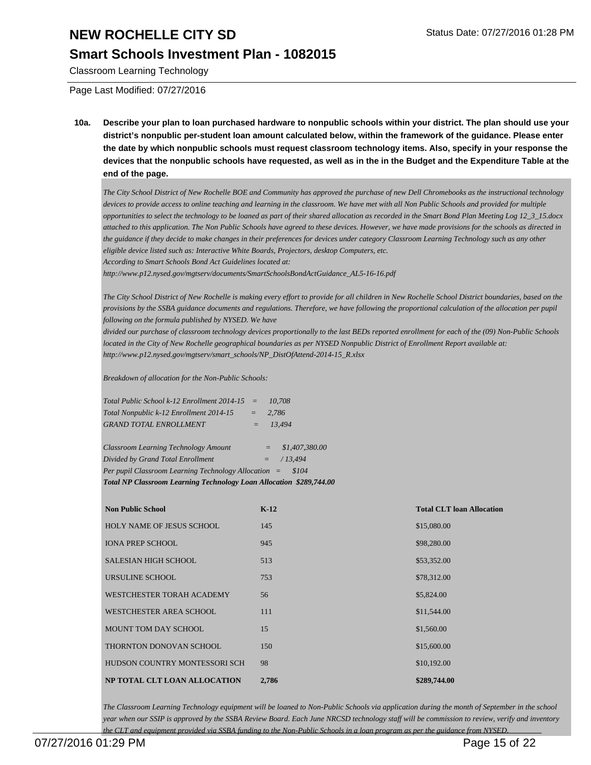#### **Smart Schools Investment Plan - 1082015**

Classroom Learning Technology

Page Last Modified: 07/27/2016

**10a. Describe your plan to loan purchased hardware to nonpublic schools within your district. The plan should use your district's nonpublic per-student loan amount calculated below, within the framework of the guidance. Please enter the date by which nonpublic schools must request classroom technology items. Also, specify in your response the devices that the nonpublic schools have requested, as well as in the in the Budget and the Expenditure Table at the end of the page.**

*The City School District of New Rochelle BOE and Community has approved the purchase of new Dell Chromebooks as the instructional technology devices to provide access to online teaching and learning in the classroom. We have met with all Non Public Schools and provided for multiple opportunities to select the technology to be loaned as part of their shared allocation as recorded in the Smart Bond Plan Meeting Log 12\_3\_15.docx attached to this application. The Non Public Schools have agreed to these devices. However, we have made provisions for the schools as directed in the guidance if they decide to make changes in their preferences for devices under category Classroom Learning Technology such as any other eligible device listed such as: Interactive White Boards, Projectors, desktop Computers, etc. According to Smart Schools Bond Act Guidelines located at:*

*http://www.p12.nysed.gov/mgtserv/documents/SmartSchoolsBondActGuidance\_AL5-16-16.pdf*

*The City School District of New Rochelle is making every effort to provide for all children in New Rochelle School District boundaries, based on the provisions by the SSBA guidance documents and regulations. Therefore, we have following the proportional calculation of the allocation per pupil following on the formula published by NYSED. We have*

*divided our purchase of classroom technology devices proportionally to the last BEDs reported enrollment for each of the (09) Non-Public Schools located in the City of New Rochelle geographical boundaries as per NYSED Nonpublic District of Enrollment Report available at: http://www.p12.nysed.gov/mgtserv/smart\_schools/NP\_DistOfAttend-2014-15\_R.xlsx*

*Breakdown of allocation for the Non-Public Schools:*

| Total NP Classroom Learning Technology Loan Allocation \$289,744.00 |                                       |  |
|---------------------------------------------------------------------|---------------------------------------|--|
| Per pupil Classroom Learning Technology Allocation $=$              | \$104                                 |  |
| Divided by Grand Total Enrollment                                   | /13.494<br>$=$                        |  |
| Classroom Learning Technology Amount                                | \$1,407,380,00<br>$=$                 |  |
| <b>GRAND TOTAL ENROLLMENT</b>                                       | 13.494<br>$=$                         |  |
| Total Nonpublic k-12 Enrollment 2014-15                             | 2.786<br>$=$                          |  |
| Total Public School k-12 Enrollment 2014-15                         | 10,708<br>$\mathcal{L} = \mathcal{L}$ |  |

| <b>Non Public School</b>         | $K-12$ | <b>Total CLT loan Allocation</b> |
|----------------------------------|--------|----------------------------------|
| <b>HOLY NAME OF JESUS SCHOOL</b> | 145    | \$15,080.00                      |
| <b>IONA PREP SCHOOL</b>          | 945    | \$98,280.00                      |
| <b>SALESIAN HIGH SCHOOL</b>      | 513    | \$53,352.00                      |
| URSULINE SCHOOL                  | 753    | \$78,312.00                      |
| WESTCHESTER TORAH ACADEMY        | 56     | \$5,824.00                       |
| WESTCHESTER AREA SCHOOL          | 111    | \$11,544.00                      |
| <b>MOUNT TOM DAY SCHOOL</b>      | 15     | \$1,560.00                       |
| THORNTON DONOVAN SCHOOL          | 150    | \$15,600.00                      |
| HUDSON COUNTRY MONTESSORI SCH    | 98     | \$10,192.00                      |
| NP TOTAL CLT LOAN ALLOCATION     | 2,786  | \$289,744.00                     |

*The Classroom Learning Technology equipment will be loaned to Non-Public Schools via application during the month of September in the school year when our SSIP is approved by the SSBA Review Board. Each June NRCSD technology staff will be commission to review, verify and inventory the CLT and equipment provided via SSBA funding to the Non-Public Schools in a loan program as per the guidance from NYSED.*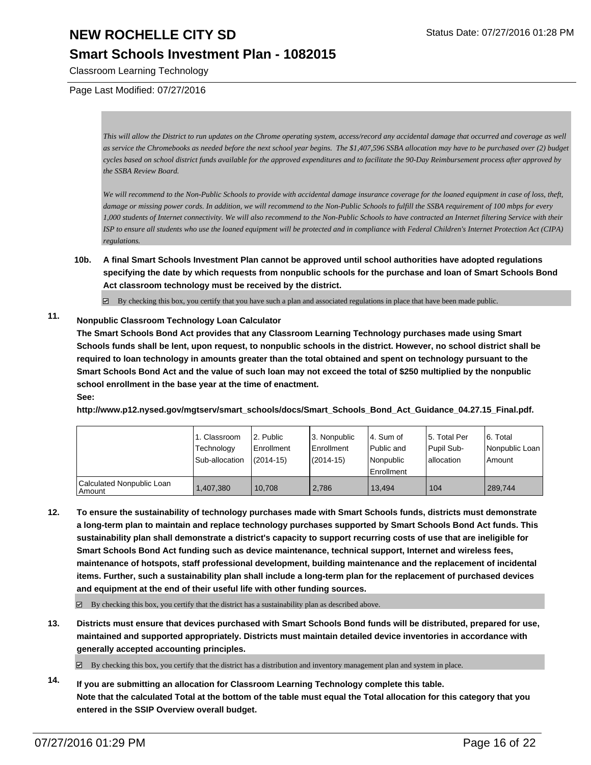#### **Smart Schools Investment Plan - 1082015**

Classroom Learning Technology

Page Last Modified: 07/27/2016

*This will allow the District to run updates on the Chrome operating system, access/record any accidental damage that occurred and coverage as well as service the Chromebooks as needed before the next school year begins. The \$1,407,596 SSBA allocation may have to be purchased over (2) budget cycles based on school district funds available for the approved expenditures and to facilitate the 90-Day Reimbursement process after approved by the SSBA Review Board.*

*We will recommend to the Non-Public Schools to provide with accidental damage insurance coverage for the loaned equipment in case of loss, theft, damage or missing power cords. In addition, we will recommend to the Non-Public Schools to fulfill the SSBA requirement of 100 mbps for every 1,000 students of Internet connectivity. We will also recommend to the Non-Public Schools to have contracted an Internet filtering Service with their ISP to ensure all students who use the loaned equipment will be protected and in compliance with Federal Children's Internet Protection Act (CIPA) regulations.*

**10b. A final Smart Schools Investment Plan cannot be approved until school authorities have adopted regulations specifying the date by which requests from nonpublic schools for the purchase and loan of Smart Schools Bond Act classroom technology must be received by the district.**

 $\boxtimes$  By checking this box, you certify that you have such a plan and associated regulations in place that have been made public.

#### **11. Nonpublic Classroom Technology Loan Calculator**

**The Smart Schools Bond Act provides that any Classroom Learning Technology purchases made using Smart Schools funds shall be lent, upon request, to nonpublic schools in the district. However, no school district shall be required to loan technology in amounts greater than the total obtained and spent on technology pursuant to the Smart Schools Bond Act and the value of such loan may not exceed the total of \$250 multiplied by the nonpublic school enrollment in the base year at the time of enactment. See:**

#### **http://www.p12.nysed.gov/mgtserv/smart\_schools/docs/Smart\_Schools\_Bond\_Act\_Guidance\_04.27.15\_Final.pdf.**

|                                     | 1. Classroom<br>Technology<br>Sub-allocation | 2. Public<br><b>Enrollment</b><br>$(2014 - 15)$ | 3. Nonpublic<br>Enrollment<br>$(2014 - 15)$ | l 4. Sum of<br>l Public and<br>Nonpublic<br><b>Enrollment</b> | 5. Total Per<br>Pupil Sub-<br>I allocation | 6. Total<br>Nonpublic Loan<br>Amount |
|-------------------------------------|----------------------------------------------|-------------------------------------------------|---------------------------------------------|---------------------------------------------------------------|--------------------------------------------|--------------------------------------|
| Calculated Nonpublic Loan<br>Amount | 1,407,380                                    | 10.708                                          | 2.786                                       | 13.494                                                        | 104                                        | 289.744                              |

**12. To ensure the sustainability of technology purchases made with Smart Schools funds, districts must demonstrate a long-term plan to maintain and replace technology purchases supported by Smart Schools Bond Act funds. This sustainability plan shall demonstrate a district's capacity to support recurring costs of use that are ineligible for Smart Schools Bond Act funding such as device maintenance, technical support, Internet and wireless fees, maintenance of hotspots, staff professional development, building maintenance and the replacement of incidental items. Further, such a sustainability plan shall include a long-term plan for the replacement of purchased devices and equipment at the end of their useful life with other funding sources.**

 $\boxtimes$  By checking this box, you certify that the district has a sustainability plan as described above.

**13. Districts must ensure that devices purchased with Smart Schools Bond funds will be distributed, prepared for use, maintained and supported appropriately. Districts must maintain detailed device inventories in accordance with generally accepted accounting principles.**

 $\boxtimes$  By checking this box, you certify that the district has a distribution and inventory management plan and system in place.

**14. If you are submitting an allocation for Classroom Learning Technology complete this table. Note that the calculated Total at the bottom of the table must equal the Total allocation for this category that you entered in the SSIP Overview overall budget.**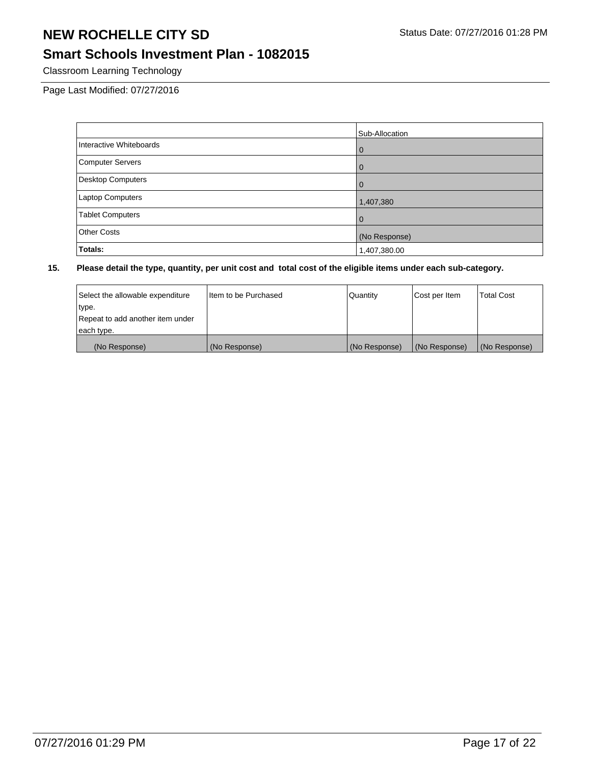## **Smart Schools Investment Plan - 1082015**

Classroom Learning Technology

Page Last Modified: 07/27/2016

|                         | Sub-Allocation |
|-------------------------|----------------|
| Interactive Whiteboards | l 0            |
| Computer Servers        | l 0            |
| Desktop Computers       | l 0            |
| <b>Laptop Computers</b> | 1,407,380      |
| <b>Tablet Computers</b> | l O            |
| Other Costs             | (No Response)  |
| Totals:                 | 1,407,380.00   |

| Select the allowable expenditure | I Item to be Purchased | Quantity      | Cost per Item | <b>Total Cost</b> |
|----------------------------------|------------------------|---------------|---------------|-------------------|
| type.                            |                        |               |               |                   |
| Repeat to add another item under |                        |               |               |                   |
| each type.                       |                        |               |               |                   |
| (No Response)                    | (No Response)          | (No Response) | (No Response) | (No Response)     |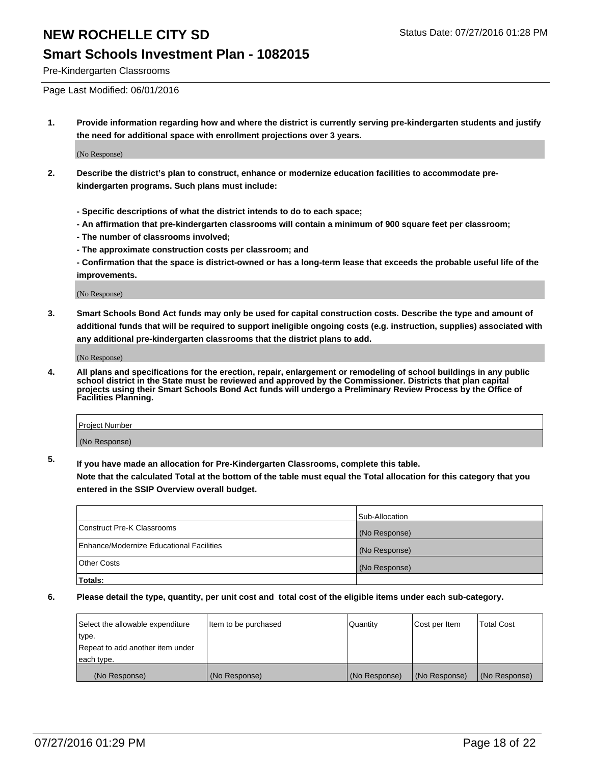#### **Smart Schools Investment Plan - 1082015**

Pre-Kindergarten Classrooms

Page Last Modified: 06/01/2016

**1. Provide information regarding how and where the district is currently serving pre-kindergarten students and justify the need for additional space with enrollment projections over 3 years.**

(No Response)

- **2. Describe the district's plan to construct, enhance or modernize education facilities to accommodate prekindergarten programs. Such plans must include:**
	- **Specific descriptions of what the district intends to do to each space;**
	- **An affirmation that pre-kindergarten classrooms will contain a minimum of 900 square feet per classroom;**
	- **The number of classrooms involved;**
	- **The approximate construction costs per classroom; and**
	- **Confirmation that the space is district-owned or has a long-term lease that exceeds the probable useful life of the improvements.**

(No Response)

**3. Smart Schools Bond Act funds may only be used for capital construction costs. Describe the type and amount of additional funds that will be required to support ineligible ongoing costs (e.g. instruction, supplies) associated with any additional pre-kindergarten classrooms that the district plans to add.**

(No Response)

**4. All plans and specifications for the erection, repair, enlargement or remodeling of school buildings in any public school district in the State must be reviewed and approved by the Commissioner. Districts that plan capital projects using their Smart Schools Bond Act funds will undergo a Preliminary Review Process by the Office of Facilities Planning.**

| <b>Project Number</b> |  |
|-----------------------|--|
| (No Response)         |  |

**5. If you have made an allocation for Pre-Kindergarten Classrooms, complete this table.**

**Note that the calculated Total at the bottom of the table must equal the Total allocation for this category that you entered in the SSIP Overview overall budget.**

|                                                 | Sub-Allocation |
|-------------------------------------------------|----------------|
| Construct Pre-K Classrooms                      | (No Response)  |
| <b>Enhance/Modernize Educational Facilities</b> | (No Response)  |
| <b>Other Costs</b>                              | (No Response)  |
| Totals:                                         |                |

| Select the allowable expenditure | litem to be purchased | Quantity      | Cost per Item | <b>Total Cost</b> |
|----------------------------------|-----------------------|---------------|---------------|-------------------|
| type.                            |                       |               |               |                   |
| Repeat to add another item under |                       |               |               |                   |
| each type.                       |                       |               |               |                   |
| (No Response)                    | (No Response)         | (No Response) | (No Response) | (No Response)     |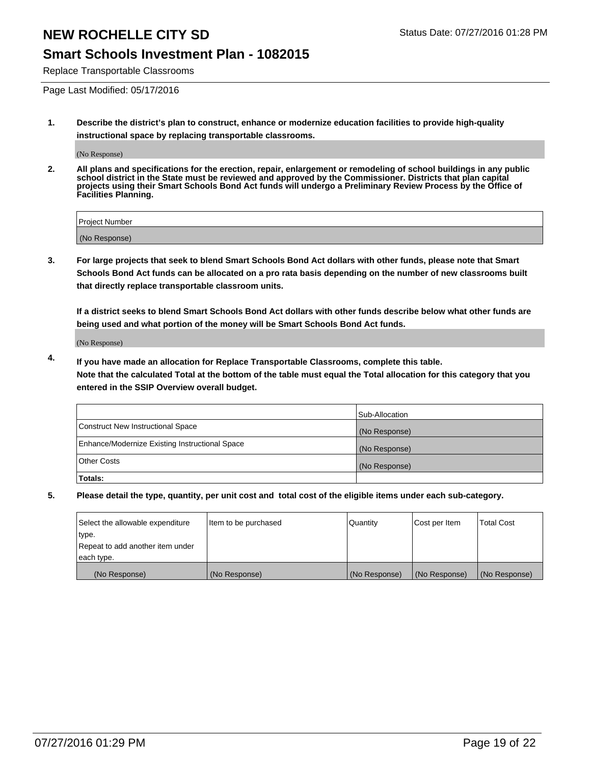### **Smart Schools Investment Plan - 1082015**

Replace Transportable Classrooms

Page Last Modified: 05/17/2016

**1. Describe the district's plan to construct, enhance or modernize education facilities to provide high-quality instructional space by replacing transportable classrooms.**

(No Response)

**2. All plans and specifications for the erection, repair, enlargement or remodeling of school buildings in any public school district in the State must be reviewed and approved by the Commissioner. Districts that plan capital projects using their Smart Schools Bond Act funds will undergo a Preliminary Review Process by the Office of Facilities Planning.**

| Project Number |  |
|----------------|--|
| (No Response)  |  |

**3. For large projects that seek to blend Smart Schools Bond Act dollars with other funds, please note that Smart Schools Bond Act funds can be allocated on a pro rata basis depending on the number of new classrooms built that directly replace transportable classroom units.**

**If a district seeks to blend Smart Schools Bond Act dollars with other funds describe below what other funds are being used and what portion of the money will be Smart Schools Bond Act funds.**

(No Response)

**4. If you have made an allocation for Replace Transportable Classrooms, complete this table. Note that the calculated Total at the bottom of the table must equal the Total allocation for this category that you entered in the SSIP Overview overall budget.**

|                                                | Sub-Allocation |
|------------------------------------------------|----------------|
| Construct New Instructional Space              | (No Response)  |
| Enhance/Modernize Existing Instructional Space | (No Response)  |
| Other Costs                                    | (No Response)  |
| Totals:                                        |                |

| Select the allowable expenditure | Item to be purchased | Quantity      | Cost per Item | <b>Total Cost</b> |
|----------------------------------|----------------------|---------------|---------------|-------------------|
| type.                            |                      |               |               |                   |
| Repeat to add another item under |                      |               |               |                   |
| each type.                       |                      |               |               |                   |
| (No Response)                    | (No Response)        | (No Response) | (No Response) | (No Response)     |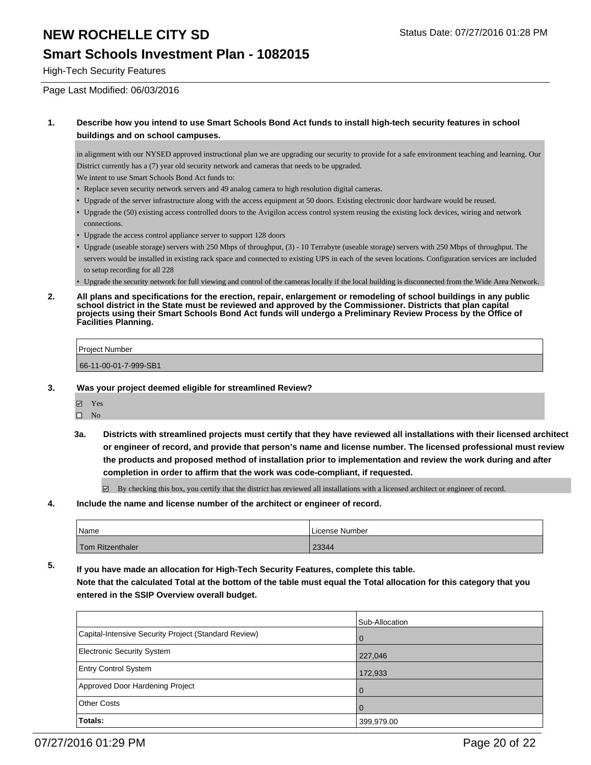### **Smart Schools Investment Plan - 1082015**

High-Tech Security Features

Page Last Modified: 06/03/2016

#### **1. Describe how you intend to use Smart Schools Bond Act funds to install high-tech security features in school buildings and on school campuses.**

in alignment with our NYSED approved instructional plan we are upgrading our security to provide for a safe environment teaching and learning. Our District currently has a (7) year old security network and cameras that needs to be upgraded.

We intent to use Smart Schools Bond Act funds to:

- Replace seven security network servers and 49 analog camera to high resolution digital cameras.
- Upgrade of the server infrastructure along with the access equipment at 50 doors. Existing electronic door hardware would be reused.
- Upgrade the (50) existing access controlled doors to the Avigilon access control system reusing the existing lock devices, wiring and network connections.
- Upgrade the access control appliance server to support 128 doors
- Upgrade (useable storage) servers with 250 Mbps of throughput, (3) 10 Terrabyte (useable storage) servers with 250 Mbps of throughput. The servers would be installed in existing rack space and connected to existing UPS in each of the seven locations. Configuration services are included to setup recording for all 228 •
- Upgrade the security network for full viewing and control of the cameras locally if the local building is disconnected from the Wide Area Network.
- **2. All plans and specifications for the erection, repair, enlargement or remodeling of school buildings in any public school district in the State must be reviewed and approved by the Commissioner. Districts that plan capital projects using their Smart Schools Bond Act funds will undergo a Preliminary Review Process by the Office of Facilities Planning.**

| Project Number        |  |
|-----------------------|--|
| 66-11-00-01-7-999-SB1 |  |

- **3. Was your project deemed eligible for streamlined Review?**
	- **Ø** Yes

 $\square$  No

**3a. Districts with streamlined projects must certify that they have reviewed all installations with their licensed architect or engineer of record, and provide that person's name and license number. The licensed professional must review the products and proposed method of installation prior to implementation and review the work during and after completion in order to affirm that the work was code-compliant, if requested.**

By checking this box, you certify that the district has reviewed all installations with a licensed architect or engineer of record.

**4. Include the name and license number of the architect or engineer of record.**

| <sup>1</sup> Name | License Number |
|-------------------|----------------|
| Tom Ritzenthaler  | 23344          |

**5. If you have made an allocation for High-Tech Security Features, complete this table.**

**Note that the calculated Total at the bottom of the table must equal the Total allocation for this category that you entered in the SSIP Overview overall budget.**

|                                                      | Sub-Allocation |
|------------------------------------------------------|----------------|
| Capital-Intensive Security Project (Standard Review) | 0              |
| <b>Electronic Security System</b>                    | 227,046        |
| <b>Entry Control System</b>                          | 172,933        |
| Approved Door Hardening Project                      | $\Omega$       |
| <b>Other Costs</b>                                   | $\Omega$       |
| Totals:                                              | 399,979.00     |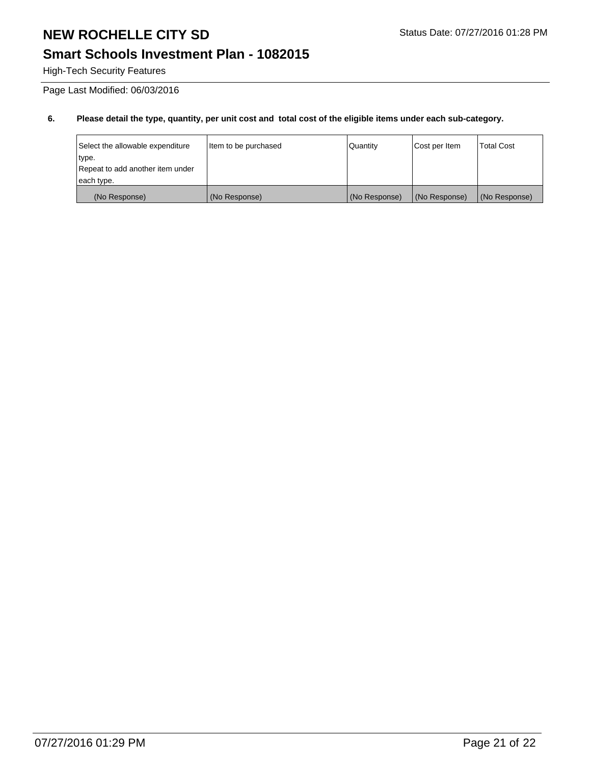## **Smart Schools Investment Plan - 1082015**

High-Tech Security Features

Page Last Modified: 06/03/2016

| Select the allowable expenditure<br>type.       | Item to be purchased | Quantity      | Cost per Item | <b>Total Cost</b> |
|-------------------------------------------------|----------------------|---------------|---------------|-------------------|
| Repeat to add another item under<br> each type. |                      |               |               |                   |
| (No Response)                                   | (No Response)        | (No Response) | (No Response) | (No Response)     |